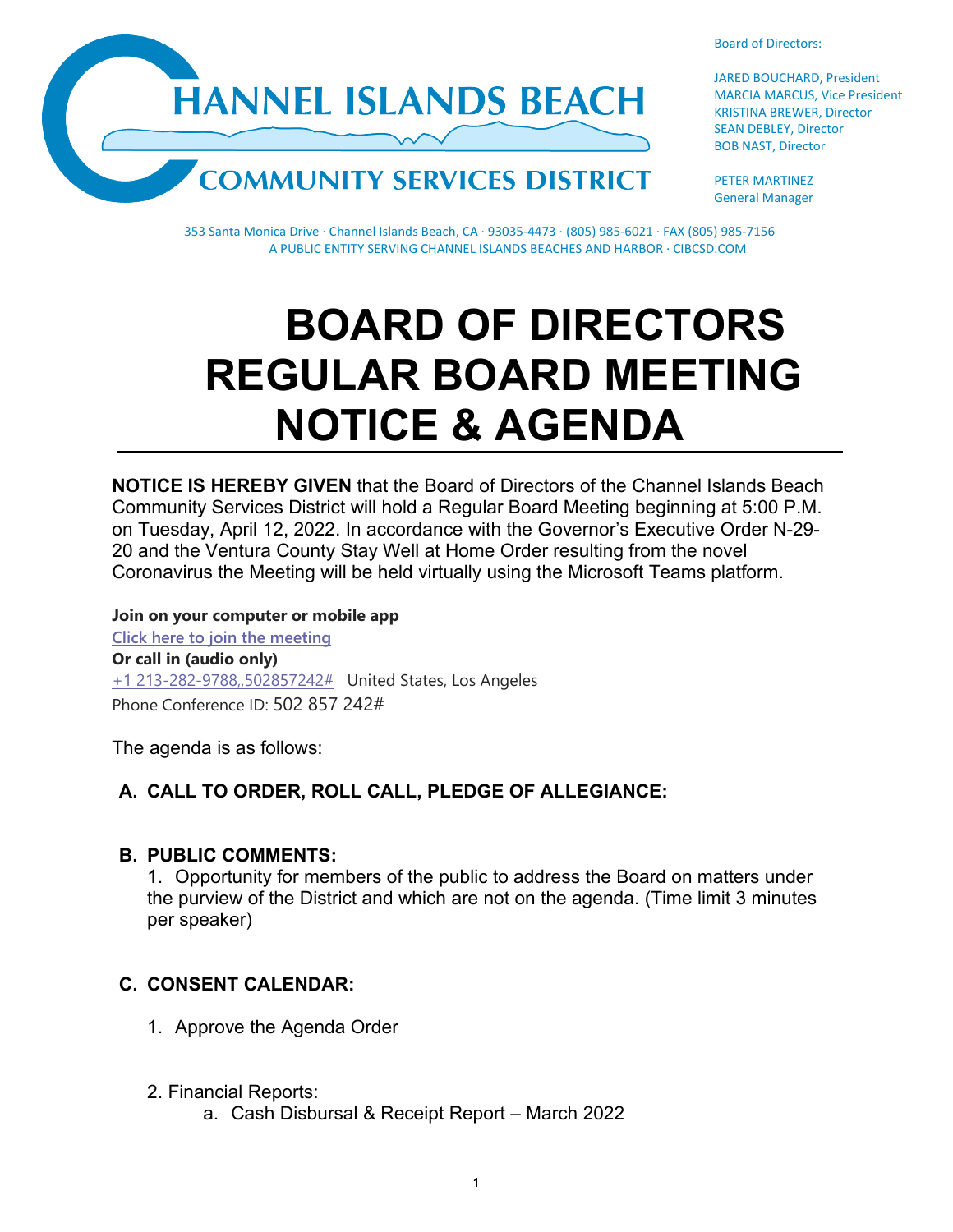



JARED BOUCHARD, President MARCIA MARCUS, Vice President KRISTINA BREWER, Director SEAN DEBLEY, Director BOB NAST, Director

PETER MARTINEZ General Manager

353 Santa Monica Drive · Channel Islands Beach, CA · 93035-4473 · (805) 985-6021 · FAX (805) 985-7156 A PUBLIC ENTITY SERVING CHANNEL ISLANDS BEACHES AND HARBOR · CIBCSD.COM

# **BOARD OF DIRECTORS REGULAR BOARD MEETING NOTICE & AGENDA**

**NOTICE IS HEREBY GIVEN** that the Board of Directors of the Channel Islands Beach Community Services District will hold a Regular Board Meeting beginning at 5:00 P.M. on Tuesday, April 12, 2022. In accordance with the Governor's Executive Order N-29- 20 and the Ventura County Stay Well at Home Order resulting from the novel Coronavirus the Meeting will be held virtually using the Microsoft Teams platform.

**Join on your computer or mobile app [Click here to join the meeting](https://teams.microsoft.com/l/meetup-join/19%3ameeting_ZWEyOWIyNWQtOGVmNC00ZDMzLWJiOTktNDkzZjNlODUzODdj%40thread.v2/0?context=%7b%22Tid%22%3a%22f7fe391d-f807-4915-a885-600f7b21c060%22%2c%22Oid%22%3a%22a1ff9a26-d5c6-43de-8ae2-ea53c9efed90%22%7d) Or call in (audio only)** [+1 213-282-9788,,502857242#](tel:+12132829788,,502857242#%20) United States, Los Angeles Phone Conference ID: 502 857 242#

The agenda is as follows:

# **A. CALL TO ORDER, ROLL CALL, PLEDGE OF ALLEGIANCE:**

#### **B. PUBLIC COMMENTS:**

1. Opportunity for members of the public to address the Board on matters under the purview of the District and which are not on the agenda. (Time limit 3 minutes per speaker)

# **C. CONSENT CALENDAR:**

- 1. Approve the Agenda Order
- 2. Financial Reports:
	- a. Cash Disbursal & Receipt Report March 2022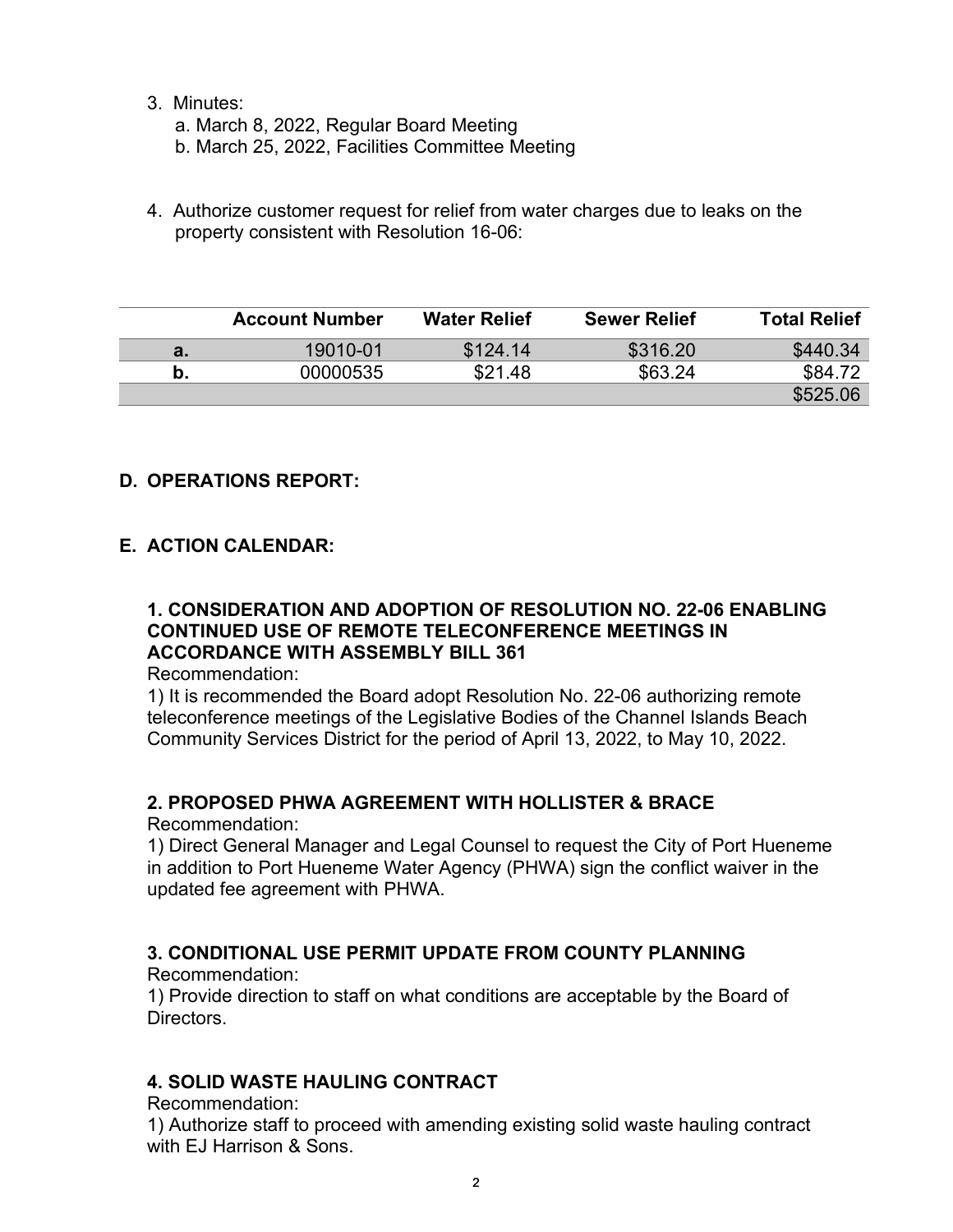3. Minutes:

a. March 8, 2022, Regular Board Meeting

b. March 25, 2022, Facilities Committee Meeting

4. Authorize customer request for relief from water charges due to leaks on the property consistent with Resolution 16-06:

|    | <b>Account Number</b> | <b>Water Relief</b> | <b>Sewer Relief</b> | <b>Total Relief</b> |
|----|-----------------------|---------------------|---------------------|---------------------|
| а. | 19010-01              | \$124.14            | \$316.20            | \$440.34            |
| b. | 00000535              | \$21.48             | \$63.24             | \$84.72             |
|    |                       |                     |                     | \$525.06            |

## **D. OPERATIONS REPORT:**

## **E. ACTION CALENDAR:**

#### **1. CONSIDERATION AND ADOPTION OF RESOLUTION NO. 22-06 ENABLING CONTINUED USE OF REMOTE TELECONFERENCE MEETINGS IN ACCORDANCE WITH ASSEMBLY BILL 361**

Recommendation:

1) It is recommended the Board adopt Resolution No. 22-06 authorizing remote teleconference meetings of the Legislative Bodies of the Channel Islands Beach Community Services District for the period of April 13, 2022, to May 10, 2022. 

#### **2. PROPOSED PHWA AGREEMENT WITH HOLLISTER & BRACE**

Recommendation:

1) Direct General Manager and Legal Counsel to request the City of Port Hueneme in addition to Port Hueneme Water Agency (PHWA) sign the conflict waiver in the updated fee agreement with PHWA.

## **3. CONDITIONAL USE PERMIT UPDATE FROM COUNTY PLANNING**

#### Recommendation:

1) Provide direction to staff on what conditions are acceptable by the Board of Directors.

#### **4. SOLID WASTE HAULING CONTRACT**

Recommendation:

1) Authorize staff to proceed with amending existing solid waste hauling contract with FJ Harrison & Sons.